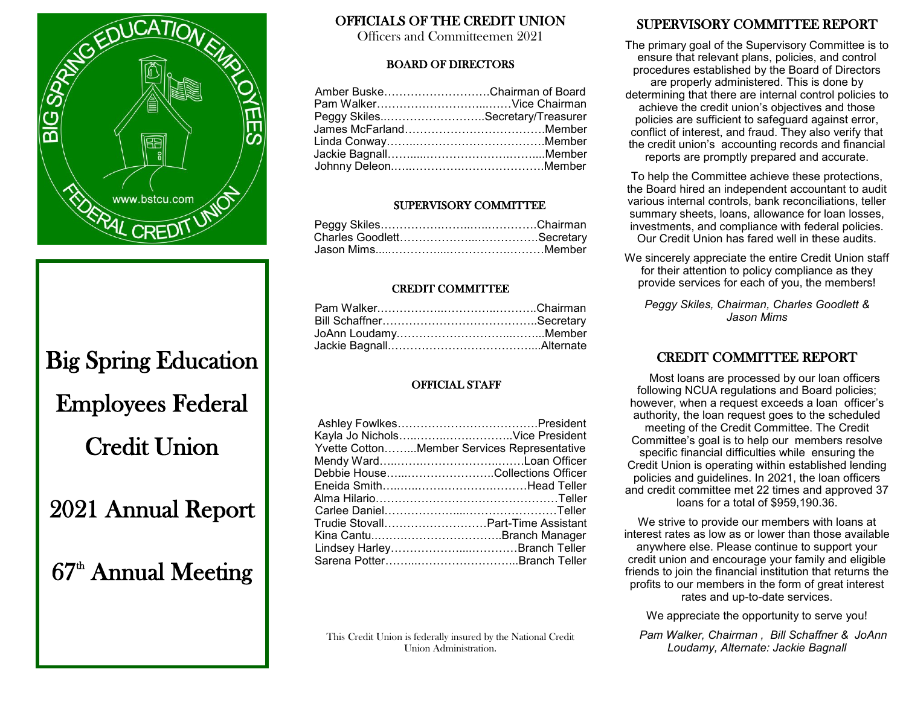

# Big Spring Education Employees Federal Credit Union

2021 Annual Report

# 67<sup>th</sup> Annual Meeting

#### OFFICIALS OF THE CREDIT UNION

Officers and Committeemen 2021

#### BOARD OF DIRECTORS

| Amber BuskeChairman of Board       |
|------------------------------------|
| Pam Walker……………………………Vice Chairman |
| Peggy SkilesSecretary/Treasurer    |
|                                    |
|                                    |
| Jackie Bagnall…………………………………Member  |
|                                    |
|                                    |

#### SUPERVISORY COMMITTEE

#### CREDIT COMMITTEE

#### OFFICIAL STAFF

| Kayla Jo NicholsVice President              |
|---------------------------------------------|
| Yvette CottonMember Services Representative |
|                                             |
| Debbie HouseCollections Officer             |
| Eneida Smith………………………………Head Teller         |
| Alma Hilario…………………………………………Teller          |
|                                             |
| Trudie Stovall………………………Part-Time Assistant  |
|                                             |
| Lindsey HarleyBranch Teller                 |
|                                             |
|                                             |

This Credit Union is federally insured by the National Credit Union Administration.

#### SUPERVISORY COMMITTEE REPORT

The primary goal of the Supervisory Committee is to ensure that relevant plans, policies, and control procedures established by the Board of Directors are properly administered. This is done by determining that there are internal control policies to achieve the credit union's objectives and those policies are sufficient to safeguard against error, conflict of interest, and fraud. They also verify that the credit union's accounting records and financial reports are promptly prepared and accurate.

To help the Committee achieve these protections, the Board hired an independent accountant to audit various internal controls, bank reconciliations, teller summary sheets, loans, allowance for loan losses, investments, and compliance with federal policies. Our Credit Union has fared well in these audits.

We sincerely appreciate the entire Credit Union staff for their attention to policy compliance as they provide services for each of you, the members!

*Peggy Skiles, Chairman, Charles Goodlett & Jason Mims*

#### CREDIT COMMITTEE REPORT

 Most loans are processed by our loan officers following NCUA regulations and Board policies; however, when a request exceeds a loan officer's authority, the loan request goes to the scheduled meeting of the Credit Committee. The Credit Committee's goal is to help our members resolve specific financial difficulties while ensuring the Credit Union is operating within established lending policies and guidelines. In 2021, the loan officers and credit committee met 22 times and approved 37 loans for a total of \$959,190.36.

We strive to provide our members with loans at interest rates as low as or lower than those available anywhere else. Please continue to support your credit union and encourage your family and eligible friends to join the financial institution that returns the profits to our members in the form of great interest rates and up-to-date services.

We appreciate the opportunity to serve you!

 *Pam Walker, Chairman , Bill Schaffner & JoAnn Loudamy, Alternate: Jackie Bagnall*